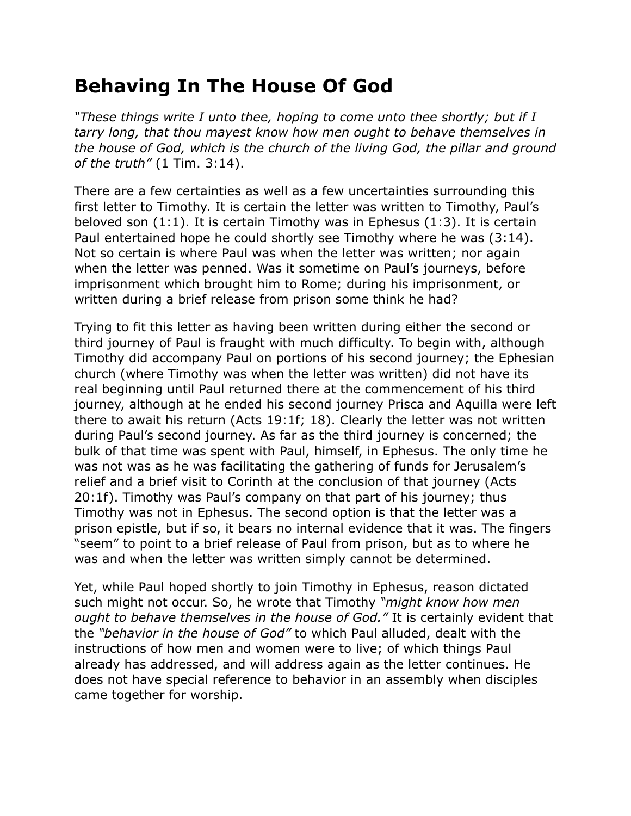## **Behaving In The House Of God**

*"These things write I unto thee, hoping to come unto thee shortly; but if I tarry long, that thou mayest know how men ought to behave themselves in the house of God, which is the church of the living God, the pillar and ground of the truth"* (1 Tim. 3:14).

There are a few certainties as well as a few uncertainties surrounding this first letter to Timothy. It is certain the letter was written to Timothy, Paul's beloved son (1:1). It is certain Timothy was in Ephesus (1:3). It is certain Paul entertained hope he could shortly see Timothy where he was (3:14). Not so certain is where Paul was when the letter was written; nor again when the letter was penned. Was it sometime on Paul's journeys, before imprisonment which brought him to Rome; during his imprisonment, or written during a brief release from prison some think he had?

Trying to fit this letter as having been written during either the second or third journey of Paul is fraught with much difficulty. To begin with, although Timothy did accompany Paul on portions of his second journey; the Ephesian church (where Timothy was when the letter was written) did not have its real beginning until Paul returned there at the commencement of his third journey, although at he ended his second journey Prisca and Aquilla were left there to await his return (Acts 19:1f; 18). Clearly the letter was not written during Paul's second journey. As far as the third journey is concerned; the bulk of that time was spent with Paul, himself, in Ephesus. The only time he was not was as he was facilitating the gathering of funds for Jerusalem's relief and a brief visit to Corinth at the conclusion of that journey (Acts 20:1f). Timothy was Paul's company on that part of his journey; thus Timothy was not in Ephesus. The second option is that the letter was a prison epistle, but if so, it bears no internal evidence that it was. The fingers "seem" to point to a brief release of Paul from prison, but as to where he was and when the letter was written simply cannot be determined.

Yet, while Paul hoped shortly to join Timothy in Ephesus, reason dictated such might not occur. So, he wrote that Timothy *"might know how men ought to behave themselves in the house of God."* It is certainly evident that the *"behavior in the house of God"* to which Paul alluded, dealt with the instructions of how men and women were to live; of which things Paul already has addressed, and will address again as the letter continues. He does not have special reference to behavior in an assembly when disciples came together for worship.